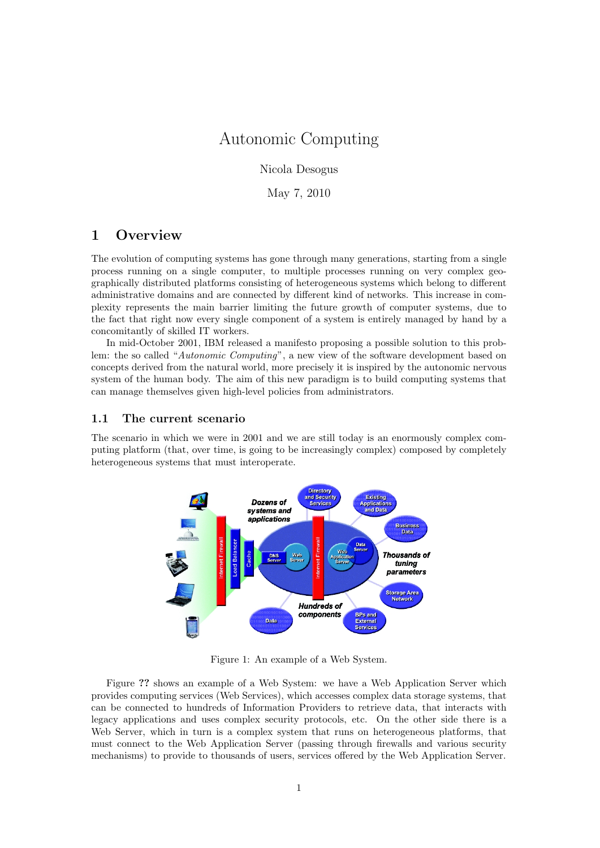# Autonomic Computing

Nicola Desogus

May 7, 2010

# 1 Overview

The evolution of computing systems has gone through many generations, starting from a single process running on a single computer, to multiple processes running on very complex geographically distributed platforms consisting of heterogeneous systems which belong to different administrative domains and are connected by different kind of networks. This increase in complexity represents the main barrier limiting the future growth of computer systems, due to the fact that right now every single component of a system is entirely managed by hand by a concomitantly of skilled IT workers.

In mid-October 2001, IBM released a manifesto proposing a possible solution to this problem: the so called "Autonomic Computing", a new view of the software development based on concepts derived from the natural world, more precisely it is inspired by the autonomic nervous system of the human body. The aim of this new paradigm is to build computing systems that can manage themselves given high-level policies from administrators.

## 1.1 The current scenario

The scenario in which we were in 2001 and we are still today is an enormously complex computing platform (that, over time, is going to be increasingly complex) composed by completely heterogeneous systems that must interoperate.



Figure 1: An example of a Web System.

Figure ?? shows an example of a Web System: we have a Web Application Server which provides computing services (Web Services), which accesses complex data storage systems, that can be connected to hundreds of Information Providers to retrieve data, that interacts with legacy applications and uses complex security protocols, etc. On the other side there is a Web Server, which in turn is a complex system that runs on heterogeneous platforms, that must connect to the Web Application Server (passing through firewalls and various security mechanisms) to provide to thousands of users, services offered by the Web Application Server.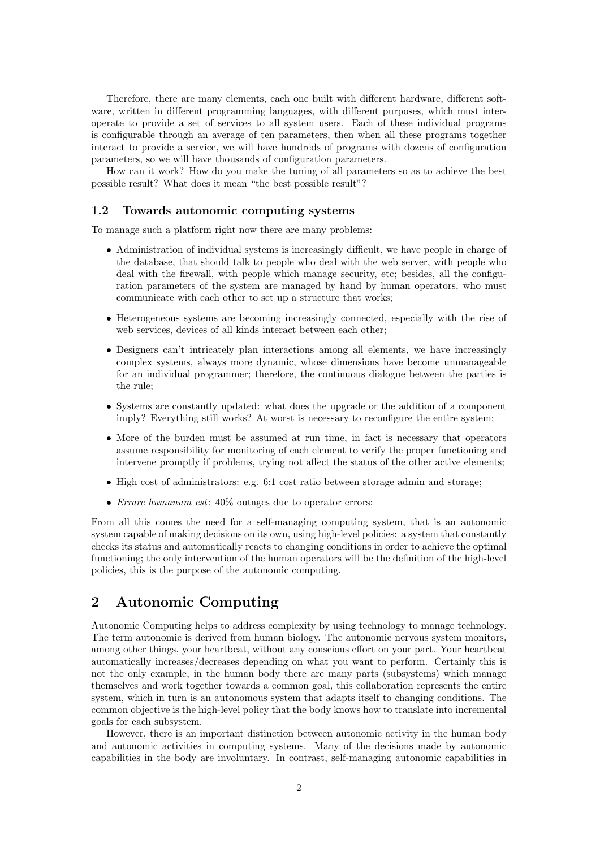Therefore, there are many elements, each one built with different hardware, different software, written in different programming languages, with different purposes, which must interoperate to provide a set of services to all system users. Each of these individual programs is configurable through an average of ten parameters, then when all these programs together interact to provide a service, we will have hundreds of programs with dozens of configuration parameters, so we will have thousands of configuration parameters.

How can it work? How do you make the tuning of all parameters so as to achieve the best possible result? What does it mean "the best possible result"?

#### 1.2 Towards autonomic computing systems

To manage such a platform right now there are many problems:

- Administration of individual systems is increasingly difficult, we have people in charge of the database, that should talk to people who deal with the web server, with people who deal with the firewall, with people which manage security, etc; besides, all the configuration parameters of the system are managed by hand by human operators, who must communicate with each other to set up a structure that works;
- Heterogeneous systems are becoming increasingly connected, especially with the rise of web services, devices of all kinds interact between each other;
- Designers can't intricately plan interactions among all elements, we have increasingly complex systems, always more dynamic, whose dimensions have become unmanageable for an individual programmer; therefore, the continuous dialogue between the parties is the rule;
- Systems are constantly updated: what does the upgrade or the addition of a component imply? Everything still works? At worst is necessary to reconfigure the entire system;
- More of the burden must be assumed at run time, in fact is necessary that operators assume responsibility for monitoring of each element to verify the proper functioning and intervene promptly if problems, trying not affect the status of the other active elements;
- High cost of administrators: e.g.  $6:1$  cost ratio between storage admin and storage;
- *Errare humanum est*:  $40\%$  outages due to operator errors;

From all this comes the need for a self-managing computing system, that is an autonomic system capable of making decisions on its own, using high-level policies: a system that constantly checks its status and automatically reacts to changing conditions in order to achieve the optimal functioning; the only intervention of the human operators will be the definition of the high-level policies, this is the purpose of the autonomic computing.

# 2 Autonomic Computing

Autonomic Computing helps to address complexity by using technology to manage technology. The term autonomic is derived from human biology. The autonomic nervous system monitors, among other things, your heartbeat, without any conscious effort on your part. Your heartbeat automatically increases/decreases depending on what you want to perform. Certainly this is not the only example, in the human body there are many parts (subsystems) which manage themselves and work together towards a common goal, this collaboration represents the entire system, which in turn is an autonomous system that adapts itself to changing conditions. The common objective is the high-level policy that the body knows how to translate into incremental goals for each subsystem.

However, there is an important distinction between autonomic activity in the human body and autonomic activities in computing systems. Many of the decisions made by autonomic capabilities in the body are involuntary. In contrast, self-managing autonomic capabilities in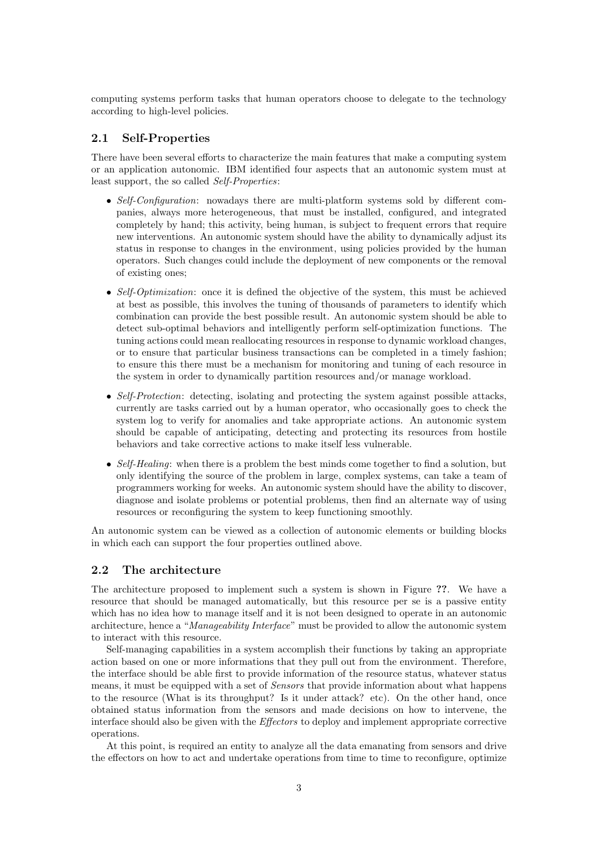computing systems perform tasks that human operators choose to delegate to the technology according to high-level policies.

## 2.1 Self-Properties

There have been several efforts to characterize the main features that make a computing system or an application autonomic. IBM identified four aspects that an autonomic system must at least support, the so called Self-Properties:

- Self-Configuration: nowadays there are multi-platform systems sold by different companies, always more heterogeneous, that must be installed, configured, and integrated completely by hand; this activity, being human, is subject to frequent errors that require new interventions. An autonomic system should have the ability to dynamically adjust its status in response to changes in the environment, using policies provided by the human operators. Such changes could include the deployment of new components or the removal of existing ones;
- Self-Optimization: once it is defined the objective of the system, this must be achieved at best as possible, this involves the tuning of thousands of parameters to identify which combination can provide the best possible result. An autonomic system should be able to detect sub-optimal behaviors and intelligently perform self-optimization functions. The tuning actions could mean reallocating resources in response to dynamic workload changes, or to ensure that particular business transactions can be completed in a timely fashion; to ensure this there must be a mechanism for monitoring and tuning of each resource in the system in order to dynamically partition resources and/or manage workload.
- Self-Protection: detecting, isolating and protecting the system against possible attacks, currently are tasks carried out by a human operator, who occasionally goes to check the system log to verify for anomalies and take appropriate actions. An autonomic system should be capable of anticipating, detecting and protecting its resources from hostile behaviors and take corrective actions to make itself less vulnerable.
- Self-Healing: when there is a problem the best minds come together to find a solution, but only identifying the source of the problem in large, complex systems, can take a team of programmers working for weeks. An autonomic system should have the ability to discover, diagnose and isolate problems or potential problems, then find an alternate way of using resources or reconfiguring the system to keep functioning smoothly.

An autonomic system can be viewed as a collection of autonomic elements or building blocks in which each can support the four properties outlined above.

## 2.2 The architecture

The architecture proposed to implement such a system is shown in Figure ??. We have a resource that should be managed automatically, but this resource per se is a passive entity which has no idea how to manage itself and it is not been designed to operate in an autonomic architecture, hence a "Manageability Interface" must be provided to allow the autonomic system to interact with this resource.

Self-managing capabilities in a system accomplish their functions by taking an appropriate action based on one or more informations that they pull out from the environment. Therefore, the interface should be able first to provide information of the resource status, whatever status means, it must be equipped with a set of Sensors that provide information about what happens to the resource (What is its throughput? Is it under attack? etc). On the other hand, once obtained status information from the sensors and made decisions on how to intervene, the interface should also be given with the Effectors to deploy and implement appropriate corrective operations.

At this point, is required an entity to analyze all the data emanating from sensors and drive the effectors on how to act and undertake operations from time to time to reconfigure, optimize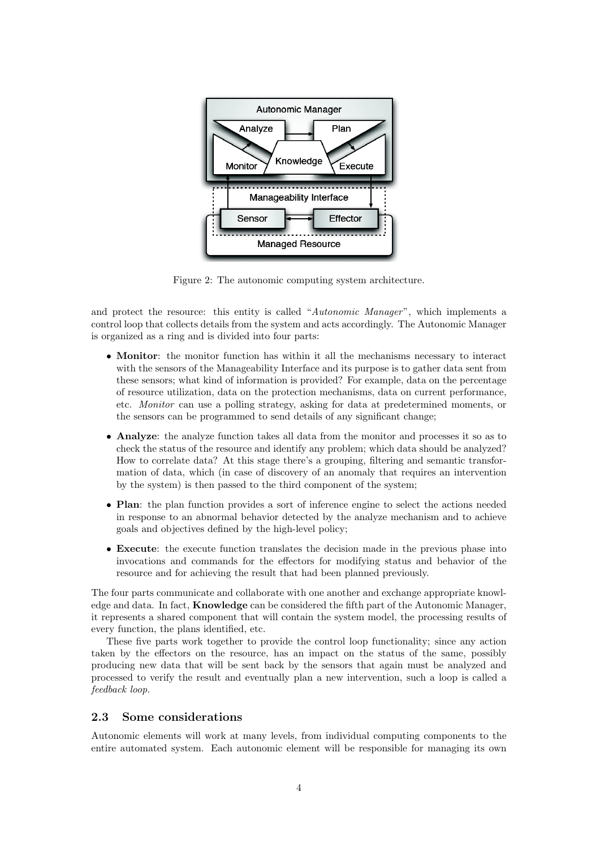

Figure 2: The autonomic computing system architecture.

and protect the resource: this entity is called "Autonomic Manager", which implements a control loop that collects details from the system and acts accordingly. The Autonomic Manager is organized as a ring and is divided into four parts:

- Monitor: the monitor function has within it all the mechanisms necessary to interact with the sensors of the Manageability Interface and its purpose is to gather data sent from these sensors; what kind of information is provided? For example, data on the percentage of resource utilization, data on the protection mechanisms, data on current performance, etc. Monitor can use a polling strategy, asking for data at predetermined moments, or the sensors can be programmed to send details of any significant change;
- Analyze: the analyze function takes all data from the monitor and processes it so as to check the status of the resource and identify any problem; which data should be analyzed? How to correlate data? At this stage there's a grouping, filtering and semantic transformation of data, which (in case of discovery of an anomaly that requires an intervention by the system) is then passed to the third component of the system;
- Plan: the plan function provides a sort of inference engine to select the actions needed in response to an abnormal behavior detected by the analyze mechanism and to achieve goals and objectives defined by the high-level policy;
- Execute: the execute function translates the decision made in the previous phase into invocations and commands for the effectors for modifying status and behavior of the resource and for achieving the result that had been planned previously.

The four parts communicate and collaborate with one another and exchange appropriate knowledge and data. In fact, Knowledge can be considered the fifth part of the Autonomic Manager, it represents a shared component that will contain the system model, the processing results of every function, the plans identified, etc.

These five parts work together to provide the control loop functionality; since any action taken by the effectors on the resource, has an impact on the status of the same, possibly producing new data that will be sent back by the sensors that again must be analyzed and processed to verify the result and eventually plan a new intervention, such a loop is called a feedback loop.

## 2.3 Some considerations

Autonomic elements will work at many levels, from individual computing components to the entire automated system. Each autonomic element will be responsible for managing its own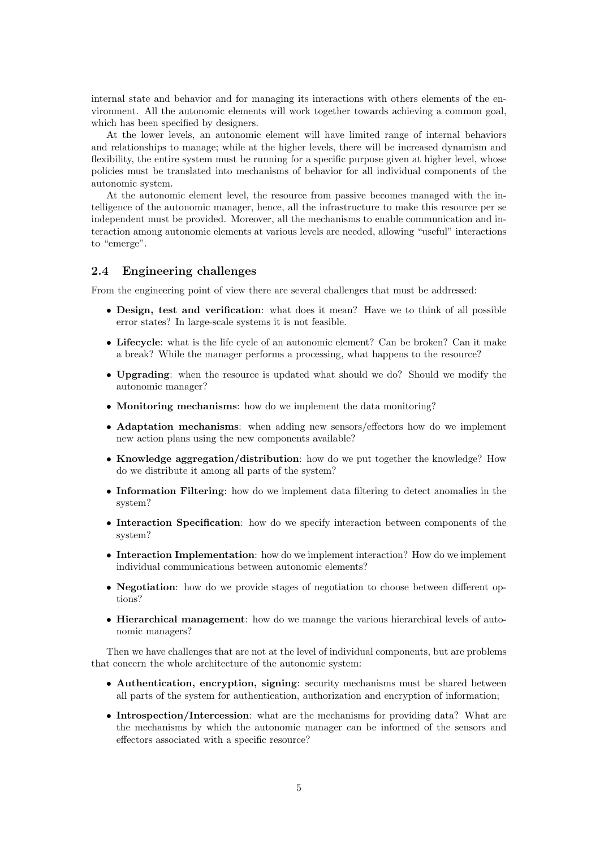internal state and behavior and for managing its interactions with others elements of the environment. All the autonomic elements will work together towards achieving a common goal, which has been specified by designers.

At the lower levels, an autonomic element will have limited range of internal behaviors and relationships to manage; while at the higher levels, there will be increased dynamism and flexibility, the entire system must be running for a specific purpose given at higher level, whose policies must be translated into mechanisms of behavior for all individual components of the autonomic system.

At the autonomic element level, the resource from passive becomes managed with the intelligence of the autonomic manager, hence, all the infrastructure to make this resource per se independent must be provided. Moreover, all the mechanisms to enable communication and interaction among autonomic elements at various levels are needed, allowing "useful" interactions to "emerge".

## 2.4 Engineering challenges

From the engineering point of view there are several challenges that must be addressed:

- Design, test and verification: what does it mean? Have we to think of all possible error states? In large-scale systems it is not feasible.
- Lifecycle: what is the life cycle of an autonomic element? Can be broken? Can it make a break? While the manager performs a processing, what happens to the resource?
- Upgrading: when the resource is updated what should we do? Should we modify the autonomic manager?
- Monitoring mechanisms: how do we implement the data monitoring?
- Adaptation mechanisms: when adding new sensors/effectors how do we implement new action plans using the new components available?
- Knowledge aggregation/distribution: how do we put together the knowledge? How do we distribute it among all parts of the system?
- Information Filtering: how do we implement data filtering to detect anomalies in the system?
- Interaction Specification: how do we specify interaction between components of the system?
- Interaction Implementation: how do we implement interaction? How do we implement individual communications between autonomic elements?
- Negotiation: how do we provide stages of negotiation to choose between different options?
- Hierarchical management: how do we manage the various hierarchical levels of autonomic managers?

Then we have challenges that are not at the level of individual components, but are problems that concern the whole architecture of the autonomic system:

- Authentication, encryption, signing: security mechanisms must be shared between all parts of the system for authentication, authorization and encryption of information;
- Introspection/Intercession: what are the mechanisms for providing data? What are the mechanisms by which the autonomic manager can be informed of the sensors and effectors associated with a specific resource?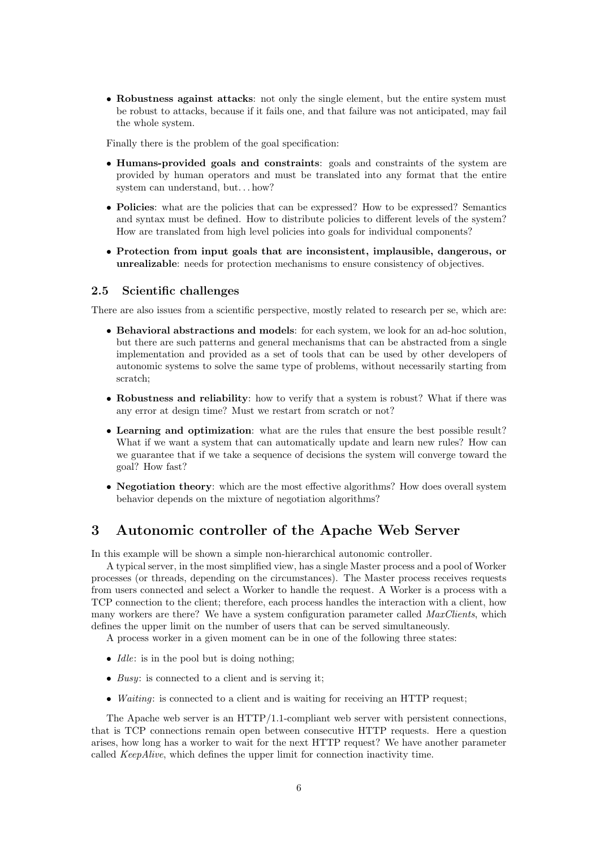• Robustness against attacks: not only the single element, but the entire system must be robust to attacks, because if it fails one, and that failure was not anticipated, may fail the whole system.

Finally there is the problem of the goal specification:

- Humans-provided goals and constraints: goals and constraints of the system are provided by human operators and must be translated into any format that the entire system can understand, but. . . how?
- Policies: what are the policies that can be expressed? How to be expressed? Semantics and syntax must be defined. How to distribute policies to different levels of the system? How are translated from high level policies into goals for individual components?
- Protection from input goals that are inconsistent, implausible, dangerous, or unrealizable: needs for protection mechanisms to ensure consistency of objectives.

### 2.5 Scientific challenges

There are also issues from a scientific perspective, mostly related to research per se, which are:

- Behavioral abstractions and models: for each system, we look for an ad-hoc solution, but there are such patterns and general mechanisms that can be abstracted from a single implementation and provided as a set of tools that can be used by other developers of autonomic systems to solve the same type of problems, without necessarily starting from scratch;
- Robustness and reliability: how to verify that a system is robust? What if there was any error at design time? Must we restart from scratch or not?
- Learning and optimization: what are the rules that ensure the best possible result? What if we want a system that can automatically update and learn new rules? How can we guarantee that if we take a sequence of decisions the system will converge toward the goal? How fast?
- Negotiation theory: which are the most effective algorithms? How does overall system behavior depends on the mixture of negotiation algorithms?

# 3 Autonomic controller of the Apache Web Server

In this example will be shown a simple non-hierarchical autonomic controller.

A typical server, in the most simplified view, has a single Master process and a pool of Worker processes (or threads, depending on the circumstances). The Master process receives requests from users connected and select a Worker to handle the request. A Worker is a process with a TCP connection to the client; therefore, each process handles the interaction with a client, how many workers are there? We have a system configuration parameter called *MaxClients*, which defines the upper limit on the number of users that can be served simultaneously.

A process worker in a given moment can be in one of the following three states:

- *Idle*: is in the pool but is doing nothing;
- Busy: is connected to a client and is serving it;
- *Waiting*: is connected to a client and is waiting for receiving an HTTP request;

The Apache web server is an  $\operatorname{HTTP}/1.1$ -compliant web server with persistent connections, that is TCP connections remain open between consecutive HTTP requests. Here a question arises, how long has a worker to wait for the next HTTP request? We have another parameter called KeepAlive, which defines the upper limit for connection inactivity time.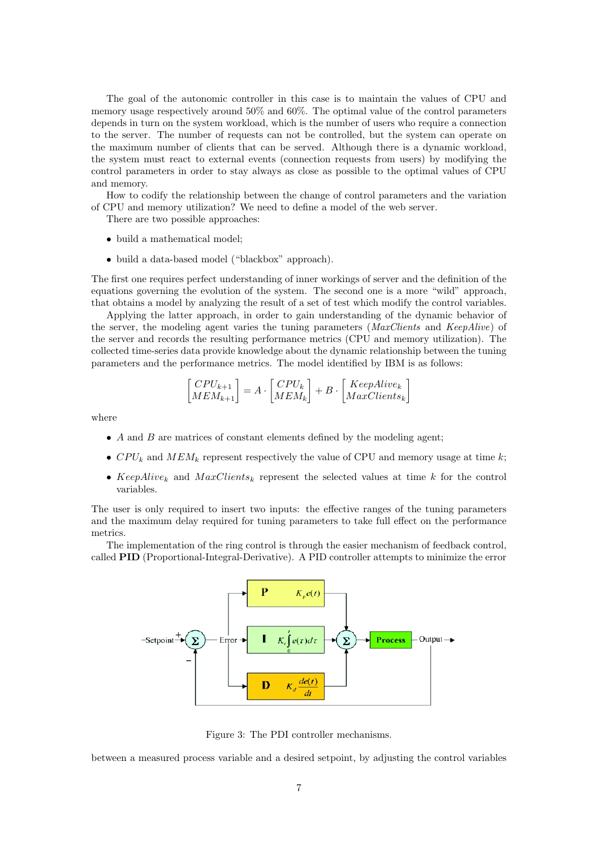The goal of the autonomic controller in this case is to maintain the values of CPU and memory usage respectively around 50% and 60%. The optimal value of the control parameters depends in turn on the system workload, which is the number of users who require a connection to the server. The number of requests can not be controlled, but the system can operate on the maximum number of clients that can be served. Although there is a dynamic workload, the system must react to external events (connection requests from users) by modifying the control parameters in order to stay always as close as possible to the optimal values of CPU and memory.

How to codify the relationship between the change of control parameters and the variation of CPU and memory utilization? We need to define a model of the web server.

There are two possible approaches:

- build a mathematical model;
- build a data-based model ("blackbox" approach).

The first one requires perfect understanding of inner workings of server and the definition of the equations governing the evolution of the system. The second one is a more "wild" approach, that obtains a model by analyzing the result of a set of test which modify the control variables.

Applying the latter approach, in order to gain understanding of the dynamic behavior of the server, the modeling agent varies the tuning parameters ( $MaxClients$  and  $KeepAlive)$  of the server and records the resulting performance metrics (CPU and memory utilization). The collected time-series data provide knowledge about the dynamic relationship between the tuning parameters and the performance metrics. The model identified by IBM is as follows:

$$
\begin{bmatrix} CPU_{k+1} \\ MEM_{k+1} \end{bmatrix} = A \cdot \begin{bmatrix} CPU_k \\ MEM_k \end{bmatrix} + B \cdot \begin{bmatrix} KeepAlive_k \\ MaxClients_k \end{bmatrix}
$$

where

- A and B are matrices of constant elements defined by the modeling agent;
- $CPU_k$  and  $MEM_k$  represent respectively the value of CPU and memory usage at time k;
- KeepAlive<sub>k</sub> and  $MaxClients_k$  represent the selected values at time k for the control variables.

The user is only required to insert two inputs: the effective ranges of the tuning parameters and the maximum delay required for tuning parameters to take full effect on the performance metrics.

The implementation of the ring control is through the easier mechanism of feedback control, called PID (Proportional-Integral-Derivative). A PID controller attempts to minimize the error



Figure 3: The PDI controller mechanisms.

between a measured process variable and a desired setpoint, by adjusting the control variables